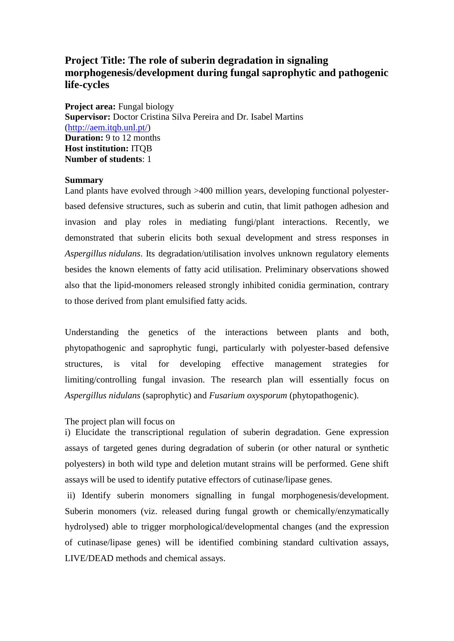# **Project Title: The role of suberin degradation in signaling morphogenesis/development during fungal saprophytic and pathogenic life-cycles**

**Project area:** Fungal biology **Supervisor:** Doctor Cristina Silva Pereira and Dr. Isabel Martins [\(http://aem.itqb.unl.pt/\)](http://aem.itqb.unl.pt/) **Duration:** 9 to 12 months **Host institution:** ITQB **Number of students**: 1

#### **Summary**

Land plants have evolved through >400 million years, developing functional polyesterbased defensive structures, such as suberin and cutin, that limit pathogen adhesion and invasion and play roles in mediating fungi/plant interactions. Recently, we demonstrated that suberin elicits both sexual development and stress responses in *Aspergillus nidulans*. Its degradation/utilisation involves unknown regulatory elements besides the known elements of fatty acid utilisation. Preliminary observations showed also that the lipid-monomers released strongly inhibited conidia germination, contrary to those derived from plant emulsified fatty acids.

Understanding the genetics of the interactions between plants and both, phytopathogenic and saprophytic fungi, particularly with polyester-based defensive structures, is vital for developing effective management strategies for limiting/controlling fungal invasion. The research plan will essentially focus on *Aspergillus nidulans* (saprophytic) and *Fusarium oxysporum* (phytopathogenic).

#### The project plan will focus on

i) Elucidate the transcriptional regulation of suberin degradation. Gene expression assays of targeted genes during degradation of suberin (or other natural or synthetic polyesters) in both wild type and deletion mutant strains will be performed. Gene shift assays will be used to identify putative effectors of cutinase/lipase genes.

ii) Identify suberin monomers signalling in fungal morphogenesis/development. Suberin monomers (viz. released during fungal growth or chemically/enzymatically hydrolysed) able to trigger morphological/developmental changes (and the expression of cutinase/lipase genes) will be identified combining standard cultivation assays, LIVE/DEAD methods and chemical assays.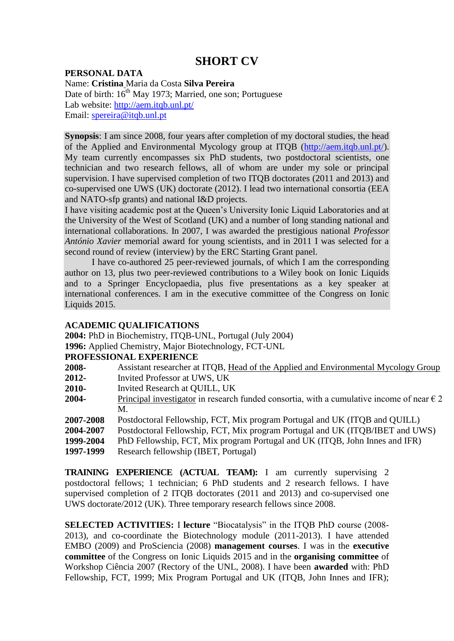# **SHORT CV**

## **PERSONAL DATA**

Name: **Cristina** Maria da Costa **Silva Pereira** Date of birth: 16<sup>th</sup> May 1973; Married, one son; Portuguese Lab website:<http://aem.itqb.unl.pt/> Email: [spereira@itqb.unl.pt](mailto:spereira@itqb.unl.pt)

**Synopsis**: I am since 2008, four years after completion of my doctoral studies, the head of the Applied and Environmental Mycology group at ITQB [\(http://aem.itqb.unl.pt/\)](http://aem.itqb.unl.pt/). My team currently encompasses six PhD students, two postdoctoral scientists, one technician and two research fellows, all of whom are under my sole or principal supervision. I have supervised completion of two ITQB doctorates (2011 and 2013) and co-supervised one UWS (UK) doctorate (2012). I lead two international consortia (EEA and NATO-sfp grants) and national I&D projects.

I have visiting academic post at the Queen's University Ionic Liquid Laboratories and at the University of the West of Scotland (UK) and a number of long standing national and international collaborations. In 2007, I was awarded the prestigious national *Professor António Xavier* memorial award for young scientists, and in 2011 I was selected for a second round of review (interview) by the ERC Starting Grant panel.

I have co-authored 25 peer-reviewed journals, of which I am the corresponding author on 13, plus two peer-reviewed contributions to a Wiley book on Ionic Liquids and to a Springer Encyclopaedia, plus five presentations as a key speaker at international conferences. I am in the executive committee of the Congress on Ionic Liquids 2015.

## **ACADEMIC QUALIFICATIONS**

**2004:** PhD in Biochemistry, ITQB-UNL, Portugal (July 2004)

**1996:** Applied Chemistry, Major Biotechnology, FCT-UNL

## **PROFESSIONAL EXPERIENCE**

- **2008-** Assistant researcher at ITQB, Head of the Applied and Environmental Mycology Group
- **2012-** Invited Professor at UWS, UK
- **2010-** Invited Research at QUILL, UK
- **2004-** Principal investigator in research funded consortia, with a cumulative income of near  $\epsilon$  2 M.
- **2007-2008** Postdoctoral Fellowship, FCT, Mix program Portugal and UK (ITQB and QUILL)
- **2004-2007** Postdoctoral Fellowship, FCT, Mix program Portugal and UK (ITQB/IBET and UWS)
- **1999-2004** PhD Fellowship, FCT, Mix program Portugal and UK (ITQB, John Innes and IFR)
- **1997-1999** Research fellowship (IBET, Portugal)

**TRAINING EXPERIENCE (ACTUAL TEAM):** I am currently supervising 2 postdoctoral fellows; 1 technician; 6 PhD students and 2 research fellows. I have supervised completion of 2 ITQB doctorates (2011 and 2013) and co-supervised one UWS doctorate/2012 (UK). Three temporary research fellows since 2008.

**SELECTED ACTIVITIES:** I **lecture** "Biocatalysis" in the ITQB PhD course (2008- 2013), and co-coordinate the Biotechnology module (2011-2013). I have attended EMBO (2009) and ProSciencia (2008) **management courses**. I was in the **executive committee** of the Congress on Ionic Liquids 2015 and in the **organising committee** of Workshop Ciência 2007 (Rectory of the UNL, 2008). I have been **awarded** with: PhD Fellowship, FCT, 1999; Mix Program Portugal and UK (ITQB, John Innes and IFR);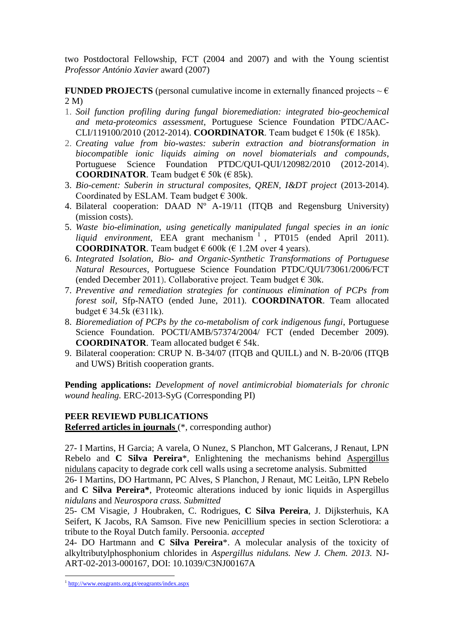two Postdoctoral Fellowship, FCT (2004 and 2007) and with the Young scientist *Professor António Xavier* award (2007)

**FUNDED PROJECTS** (personal cumulative income in externally financed projects  $\sim \epsilon$ ) 2 M)

- 1. *Soil function profiling during fungal bioremediation: integrated bio-geochemical and meta-proteomics assessment*, Portuguese Science Foundation PTDC/AAC-CLI/119100/2010 (2012-2014). **COORDINATOR**. Team budget € 150k (€ 185k).
- 2. *Creating value from bio-wastes: suberin extraction and biotransformation in biocompatible ionic liquids aiming on novel biomaterials and compounds*, Portuguese Science Foundation PTDC/QUI-QUI/120982/2010 (2012-2014). **COORDINATOR.** Team budget  $\in$  50k ( $\in$  85k).
- 3. *Bio-cement: Suberin in structural composites, QREN, I&DT project* (2013-2014). Coordinated by ESLAM. Team budget  $\epsilon$  300k.
- 4. Bilateral cooperation: DAAD Nº A-19/11 (ITQB and Regensburg University) (mission costs).
- 5. *Waste bio-elimination, using genetically manipulated fungal species in an ionic*  liquid environment, EEA grant mechanism<sup>1</sup>, PT015 (ended April 2011). **COORDINATOR**. Team budget  $\epsilon$  600k ( $\epsilon$  1.2M over 4 years).
- 6. *Integrated Isolation, Bio- and Organic-Synthetic Transformations of Portuguese Natural Resources*, Portuguese Science Foundation PTDC/QUI/73061/2006/FCT (ended December 2011). Collaborative project. Team budget  $\epsilon$  30k.
- 7. *Preventive and remediation strategies for continuous elimination of PCPs from forest soil*, Sfp-NATO (ended June, 2011). **COORDINATOR**. Team allocated budget  $\in$  34.5k ( $\in$ 311k).
- 8. *Bioremediation of PCPs by the co-metabolism of cork indigenous fungi*, Portuguese Science Foundation. POCTI/AMB/57374/2004/ FCT (ended December 2009). **COORDINATOR.** Team allocated budget  $\epsilon$  54k.
- 9. Bilateral cooperation: CRUP N. B-34/07 (ITQB and QUILL) and N. B-20/06 (ITQB and UWS) British cooperation grants.

**Pending applications:** *Development of novel antimicrobial biomaterials for chronic wound healing.* ERC-2013-SyG (Corresponding PI)

# **PEER REVIEWD PUBLICATIONS**

**Referred articles in journals** (\*, corresponding author)

27- I Martins, H Garcia; A varela, O Nunez, S Planchon, MT Galcerans, J Renaut, LPN Rebelo and **C Silva Pereira**\*, Enlightening the mechanisms behind Aspergillus nidulans capacity to degrade cork cell walls using a secretome analysis. Submitted

26- I Martins, DO Hartmann, PC Alves, S Planchon, J Renaut, MC Leitão, LPN Rebelo and **C Silva Pereira\***, Proteomic alterations induced by ionic liquids in Aspergillus *nidulans* and *Neurospora crass. Submitted*

25- CM Visagie, J Houbraken, C. Rodrigues, **C Silva Pereira**, J. Dijksterhuis, KA Seifert, K Jacobs, RA Samson. Five new Penicillium species in section Sclerotiora: a tribute to the Royal Dutch family. Persoonia. *accepted*

24- DO Hartmann and **C Silva Pereira**\*. A molecular analysis of the toxicity of alkyltributylphosphonium chlorides in *Aspergillus nidulans. New J. Chem. 2013.* NJ-ART-02-2013-000167, DOI: 10.1039/C3NJ00167A

**.** 

<sup>&</sup>lt;sup>1</sup> <http://www.eeagrants.org.pt/eeagrants/index.aspx>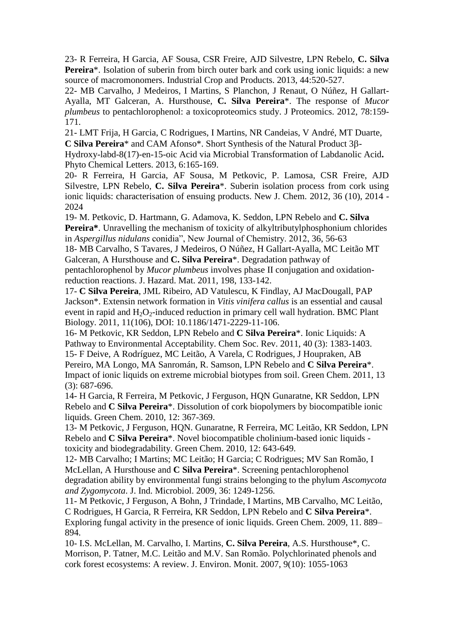23- R Ferreira, H Garcia, AF Sousa, CSR Freire, AJD Silvestre, LPN Rebelo, **C. Silva Pereira**\*. Isolation of suberin from birch outer bark and cork using ionic liquids: a new source of macromonomers. Industrial Crop and Products. 2013, 44:520-527.

22- MB Carvalho, J Medeiros, I Martins, S Planchon, J Renaut, O Núñez, H Gallart-Ayalla, MT Galceran, A. Hursthouse, **C. Silva Pereira**\*. The response of *Mucor plumbeus* to pentachlorophenol: a toxicoproteomics study. J Proteomics. 2012, 78:159- 171.

21- LMT Frija, H Garcia, C Rodrigues, I Martins, NR Candeias, V André, MT Duarte, **C Silva Pereira**\* and CAM Afonso<sup>\*</sup>. Short Synthesis of the Natural Product 3β-

Hydroxy-labd-8(17)-en-15-oic Acid via Microbial Transformation of Labdanolic Acid**.** Phyto Chemical Letters. 2013, 6:165-169.

20- R Ferreira, H Garcia, AF Sousa, M Petkovic, P. Lamosa, CSR Freire, AJD Silvestre, LPN Rebelo, **C. Silva Pereira**\*. Suberin isolation process from cork using ionic liquids: characterisation of ensuing products. New J. Chem. 2012, 36 (10), 2014 - 2024

19- M. Petkovic, D. Hartmann, G. Adamova, K. Seddon, LPN Rebelo and **C. Silva Pereira\***. Unravelling the mechanism of toxicity of alkyltributylphosphonium chlorides in *Aspergillus nidulans* conidia", New Journal of Chemistry. 2012, 36, 56-63

18- MB Carvalho, S Tavares, J Medeiros, O Núñez, H Gallart-Ayalla, MC Leitão MT Galceran, A Hursthouse and **C. Silva Pereira**\*. Degradation pathway of pentachlorophenol by *Mucor plumbeus* involves phase II conjugation and oxidationreduction reactions. J. Hazard. Mat. 2011, 198, 133-142.

17- **C Silva Pereira**, JML Ribeiro, AD Vatulescu, K Findlay, AJ MacDougall, PAP Jackson\*. Extensin network formation in *Vitis vinifera callus* is an essential and causal event in rapid and  $H_2O_2$ -induced reduction in primary cell wall hydration. BMC Plant Biology. 2011, 11(106), DOI: 10.1186/1471-2229-11-106.

16- M Petkovic, KR Seddon, LPN Rebelo and **C Silva Pereira**\*. Ionic Liquids: A Pathway to Environmental Acceptability. Chem Soc. Rev. 2011, 40 (3): 1383-1403. 15- F Deive, A Rodríguez, MC Leitão, A Varela, C Rodrigues, J Houpraken, AB Pereiro, MA Longo, MA Sanromán, R. Samson, LPN Rebelo and **C Silva Pereira**\*. Impact of ionic liquids on extreme microbial biotypes from soil. Green Chem. 2011, 13 (3): 687-696.

14- H Garcia, R Ferreira, M Petkovic, J Ferguson, HQN Gunaratne, KR Seddon, LPN Rebelo and **C Silva Pereira**\*. Dissolution of cork biopolymers by biocompatible ionic liquids. Green Chem. 2010, 12: 367-369.

13- M Petkovic, J Ferguson, HQN. Gunaratne, R Ferreira, MC Leitão, KR Seddon, LPN Rebelo and **C Silva Pereira**\*. Novel biocompatible cholinium-based ionic liquids toxicity and biodegradability. Green Chem. 2010, 12: 643-649.

12- MB Carvalho; I Martins; MC Leitão; H Garcia; C Rodrigues; MV San Romão, I McLellan, A Hursthouse and **C Silva Pereira**\*. Screening pentachlorophenol degradation ability by environmental fungi strains belonging to the phylum *Ascomycota and Zygomycota*. J. Ind. Microbiol. 2009, 36: 1249-1256.

11- M Petkovic, J Ferguson, A Bohn, J Trindade, I Martins, MB Carvalho, MC Leitão, C Rodrigues, H Garcia, R Ferreira, KR Seddon, LPN Rebelo and **C Silva Pereira**\*. Exploring fungal activity in the presence of ionic liquids. Green Chem. 2009, 11. 889– 894.

10- I.S. McLellan, M. Carvalho, I. Martins, **C. Silva Pereira**, A.S. Hursthouse\*, C. Morrison, P. Tatner, M.C. Leitão and M.V. San Romão. Polychlorinated phenols and cork forest ecosystems: A review. J. Environ. Monit. 2007, 9(10): 1055-1063